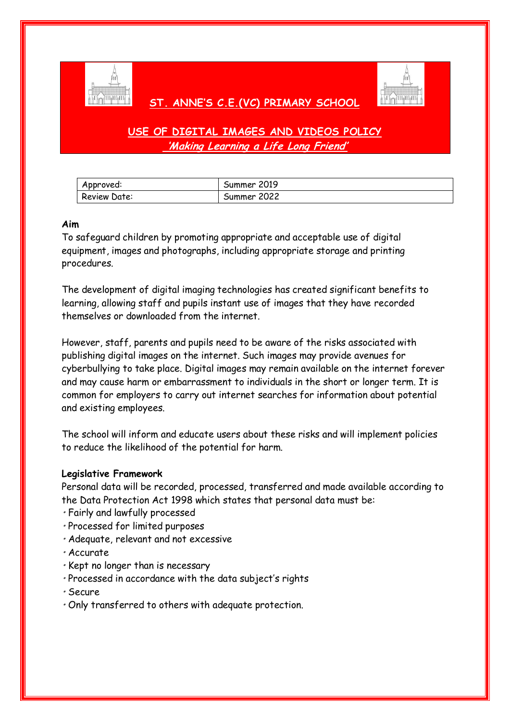

# **ST. ANNE'S C.E.(VC) PRIMARY SCHOOL**



**USE OF DIGITAL IMAGES AND VIDEOS POLICY 'Making Learning a Life Long Friend'**

| Approved:           | Summer 2019 |
|---------------------|-------------|
| <b>Review Date:</b> | Summer 2022 |

#### **Aim**

To safeguard children by promoting appropriate and acceptable use of digital equipment, images and photographs, including appropriate storage and printing procedures.

The development of digital imaging technologies has created significant benefits to learning, allowing staff and pupils instant use of images that they have recorded themselves or downloaded from the internet.

However, staff, parents and pupils need to be aware of the risks associated with publishing digital images on the internet. Such images may provide avenues for cyberbullying to take place. Digital images may remain available on the internet forever and may cause harm or embarrassment to individuals in the short or longer term. It is common for employers to carry out internet searches for information about potential and existing employees.

The school will inform and educate users about these risks and will implement policies to reduce the likelihood of the potential for harm.

#### **Legislative Framework**

Personal data will be recorded, processed, transferred and made available according to the Data Protection Act 1998 which states that personal data must be:

- Fairly and lawfully processed
- Processed for limited purposes
- Adequate, relevant and not excessive
- Accurate
- Kept no longer than is necessary
- Processed in accordance with the data subject's rights
- Secure
- Only transferred to others with adequate protection.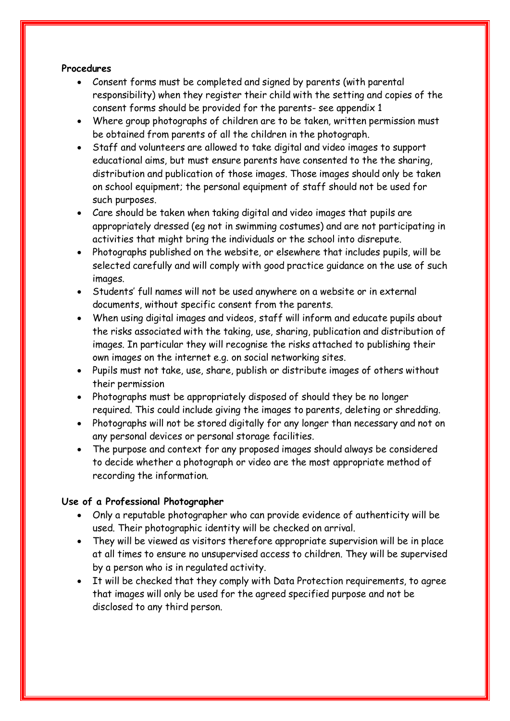## **Procedures**

- Consent forms must be completed and signed by parents (with parental responsibility) when they register their child with the setting and copies of the consent forms should be provided for the parents- see appendix 1
- Where group photographs of children are to be taken, written permission must be obtained from parents of all the children in the photograph.
- Staff and volunteers are allowed to take digital and video images to support educational aims, but must ensure parents have consented to the the sharing, distribution and publication of those images. Those images should only be taken on school equipment; the personal equipment of staff should not be used for such purposes.
- Care should be taken when taking digital and video images that pupils are appropriately dressed (eg not in swimming costumes) and are not participating in activities that might bring the individuals or the school into disrepute.
- Photographs published on the website, or elsewhere that includes pupils, will be selected carefully and will comply with good practice guidance on the use of such images.
- Students' full names will not be used anywhere on a website or in external documents, without specific consent from the parents.
- When using digital images and videos, staff will inform and educate pupils about the risks associated with the taking, use, sharing, publication and distribution of images. In particular they will recognise the risks attached to publishing their own images on the internet e.g. on social networking sites.
- Pupils must not take, use, share, publish or distribute images of others without their permission
- Photographs must be appropriately disposed of should they be no longer required. This could include giving the images to parents, deleting or shredding.
- Photographs will not be stored digitally for any longer than necessary and not on any personal devices or personal storage facilities.
- The purpose and context for any proposed images should always be considered to decide whether a photograph or video are the most appropriate method of recording the information.

# **Use of a Professional Photographer**

- Only a reputable photographer who can provide evidence of authenticity will be used. Their photographic identity will be checked on arrival.
- They will be viewed as visitors therefore appropriate supervision will be in place at all times to ensure no unsupervised access to children. They will be supervised by a person who is in regulated activity.
- It will be checked that they comply with Data Protection requirements, to agree that images will only be used for the agreed specified purpose and not be disclosed to any third person.